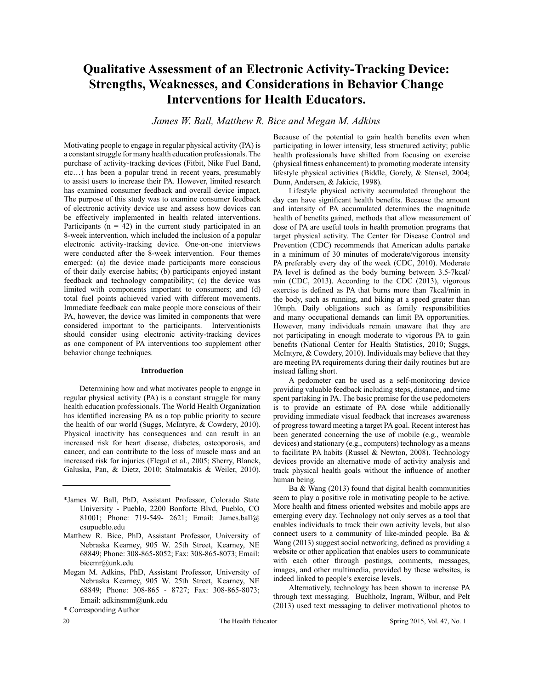# **Qualitative Assessment of an Electronic Activity-Tracking Device: Strengths, Weaknesses, and Considerations in Behavior Change Interventions for Health Educators.**

*James W. Ball, Matthew R. Bice and Megan M. Adkins*

Motivating people to engage in regular physical activity (PA) is a constant struggle for many health education professionals. The purchase of activity-tracking devices (Fitbit, Nike Fuel Band, etc…) has been a popular trend in recent years, presumably to assist users to increase their PA. However, limited research has examined consumer feedback and overall device impact. The purpose of this study was to examine consumer feedback of electronic activity device use and assess how devices can be effectively implemented in health related interventions. Participants ( $n = 42$ ) in the current study participated in an 8-week intervention, which included the inclusion of a popular electronic activity-tracking device. One-on-one interviews were conducted after the 8-week intervention. Four themes emerged: (a) the device made participants more conscious of their daily exercise habits; (b) participants enjoyed instant feedback and technology compatibility; (c) the device was limited with components important to consumers; and (d) total fuel points achieved varied with different movements. Immediate feedback can make people more conscious of their PA, however, the device was limited in components that were considered important to the participants. Interventionists should consider using electronic activity-tracking devices as one component of PA interventions too supplement other behavior change techniques.

## **Introduction**

Determining how and what motivates people to engage in regular physical activity (PA) is a constant struggle for many health education professionals. The World Health Organization has identified increasing PA as a top public priority to secure the health of our world (Suggs, McIntyre, & Cowdery, 2010). Physical inactivity has consequences and can result in an increased risk for heart disease, diabetes, osteoporosis, and cancer, and can contribute to the loss of muscle mass and an increased risk for injuries (Flegal et al., 2005; Sherry, Blanck, Galuska, Pan, & Dietz, 2010; Stalmatakis & Weiler, 2010).

- \*James W. Ball, PhD, Assistant Professor, Colorado State University - Pueblo, 2200 Bonforte Blvd, Pueblo, CO 81001; Phone: 719-549- 2621; Email: James.ball@ csupueblo.edu
- Matthew R. Bice, PhD, Assistant Professor, University of Nebraska Kearney, 905 W. 25th Street, Kearney, NE 68849; Phone: 308-865-8052; Fax: 308-865-8073; Email: bicemr@unk.edu
- Megan M. Adkins, PhD, Assistant Professor, University of Nebraska Kearney, 905 W. 25th Street, Kearney, NE 68849; Phone: 308-865 - 8727; Fax: 308-865-8073; Email: adkinsmm@unk.edu

\* Corresponding Author

Because of the potential to gain health benefits even when participating in lower intensity, less structured activity; public health professionals have shifted from focusing on exercise (physical fitness enhancement) to promoting moderate intensity lifestyle physical activities (Biddle, Gorely, & Stensel, 2004; Dunn, Andersen, & Jakicic, 1998).

Lifestyle physical activity accumulated throughout the day can have significant health benefits. Because the amount and intensity of PA accumulated determines the magnitude health of benefits gained, methods that allow measurement of dose of PA are useful tools in health promotion programs that target physical activity. The Center for Disease Control and Prevention (CDC) recommends that American adults partake in a minimum of 30 minutes of moderate/vigorous intensity PA preferably every day of the week (CDC, 2010). Moderate PA level is defined as the body burning between 3.5-7kcal/ min (CDC, 2013). According to the CDC (2013), vigorous exercise is defined as PA that burns more than 7kcal/min in the body, such as running, and biking at a speed greater than 10mph. Daily obligations such as family responsibilities and many occupational demands can limit PA opportunities. However, many individuals remain unaware that they are not participating in enough moderate to vigorous PA to gain benefits (National Center for Health Statistics, 2010; Suggs, McIntyre, & Cowdery, 2010). Individuals may believe that they are meeting PA requirements during their daily routines but are instead falling short.

A pedometer can be used as a self-monitoring device providing valuable feedback including steps, distance, and time spent partaking in PA. The basic premise for the use pedometers is to provide an estimate of PA dose while additionally providing immediate visual feedback that increases awareness of progress toward meeting a target PA goal. Recent interest has been generated concerning the use of mobile (e.g., wearable devices) and stationary (e.g., computers) technology as a means to facilitate PA habits (Russel & Newton, 2008). Technology devices provide an alternative mode of activity analysis and track physical health goals without the influence of another human being.

Ba & Wang (2013) found that digital health communities seem to play a positive role in motivating people to be active. More health and fitness oriented websites and mobile apps are emerging every day. Technology not only serves as a tool that enables individuals to track their own activity levels, but also connect users to a community of like-minded people. Ba & Wang (2013) suggest social networking, defined as providing a website or other application that enables users to communicate with each other through postings, comments, messages, images, and other multimedia, provided by these websites, is indeed linked to people's exercise levels.

Alternatively, technology has been shown to increase PA through text messaging. Buchholz, Ingram, Wilbur, and Pelt (2013) used text messaging to deliver motivational photos to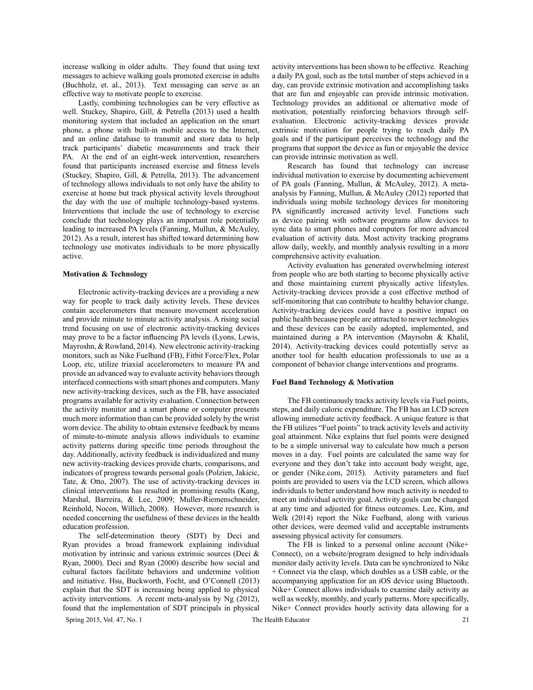increase walking in older adults. They found that using text messages to achieve walking goals promoted exercise in adults (Buchholz, et. al., 2013). Text messaging can serve as an effective way to motivate people to exercise.

Lastly, combining technologies can be very effective as well. Stuckey, Shapiro, Gill, & Petrella (2013) used a health monitoring system that included an application on the smart phone, a phone with built-in mobile access to the Internet, and an online database to transmit and store data to help track participants' diabetic measurements and track their PA. At the end of an eight-week intervention, researchers found that participants increased exercise and fitness levels (Stuckey, Shapiro, Gill, & Petrella, 2013). The advancement of technology allows individuals to not only have the ability to exercise at home but track physical activity levels throughout the day with the use of multiple technology-based systems. Interventions that include the use of technology to exercise conclude that technology plays an important role potentially leading to increased PA levels (Fanning, Mullun, & McAuley, 2012). As a result, interest has shifted toward determining how technology use motivates individuals to be more physically active.

## **Motivation & Technology**

Electronic activity-tracking devices are a providing a new way for people to track daily activity levels. These devices contain accelerometers that measure movement acceleration and provide minute to minute activity analysis. A rising social trend focusing on use of electronic activity-tracking devices may prove to be a factor influencing PA levels (Lyons, Lewis, Mayroshn, & Rowland, 2014). New electronic activity-tracking monitors, such as Nike Fuelband (FB), Fitbit Force/Flex, Polar Loop, etc, utilize triaxial accelerometers to measure PA and provide an advanced way to evaluate activity behaviors through interfaced connections with smart phones and computers. Many new activity-tracking devices, such as the FB, have associated programs available for activity evaluation. Connection between the activity monitor and a smart phone or computer presents much more information than can be provided solely by the wrist worn device. The ability to obtain extensive feedback by means of minute-to-minute analysis allows individuals to examine activity patterns during specific time periods throughout the day. Additionally, activity feedback is individualized and many new activity-tracking devices provide charts, comparisons, and indicators of progress towards personal goals (Polzien, Jakicic, Tate, & Otto, 2007). The use of activity-tracking devices in clinical interventions has resulted in promising results (Kang, Marshal, Barreira, & Lee, 2009; Muller-Riemenschneider, Reinhold, Nocon, Willich, 2008). However, more research is needed concerning the usefulness of these devices in the health education profession.

The self-determination theory (SDT) by Deci and Ryan provides a broad framework explaining individual motivation by intrinsic and various extrinsic sources (Deci & Ryan, 2000). Deci and Ryan (2000) describe how social and cultural factors facilitate behaviors and undermine volition and initiative. Hsu, Buckworth, Focht, and O'Connell (2013) explain that the SDT is increasing being applied to physical activity interventions. A recent meta-analysis by Ng (2012), found that the implementation of SDT principals in physical

activity interventions has been shown to be effective. Reaching a daily PA goal, such as the total number of steps achieved in a day, can provide extrinsic motivation and accomplishing tasks that are fun and enjoyable can provide intrinsic motivation. Technology provides an additional or alternative mode of motivation, potentially reinforcing behaviors through selfevaluation. Electronic activity-tracking devices provide extrinsic motivation for people trying to reach daily PA goals and if the participant perceives the technology and the programs that support the device as fun or enjoyable the device can provide intrinsic motivation as well.

Research has found that technology can increase individual motivation to exercise by documenting achievement of PA goals (Fanning, Mullun, & McAuley, 2012). A metaanalysis by Fanning, Mullun, & McAuley (2012) reported that individuals using mobile technology devices for monitoring PA significantly increased activity level. Functions such as device pairing with software programs allow devices to sync data to smart phones and computers for more advanced evaluation of activity data. Most activity tracking programs allow daily, weekly, and monthly analysis resulting in a more comprehensive activity evaluation.

Activity evaluation has generated overwhelming interest from people who are both starting to become physically active and those maintaining current physically active lifestyles. Activity-tracking devices provide a cost effective method of self-monitoring that can contribute to healthy behavior change. Activity-tracking devices could have a positive impact on public health because people are attracted to newer technologies and these devices can be easily adopted, implemented, and maintained during a PA intervention (Mayrsohn & Khalil, 2014). Activity-tracking devices could potentially serve as another tool for health education professionals to use as a component of behavior change interventions and programs.

## **Fuel Band Technology & Motivation**

The FB continuously tracks activity levels via Fuel points, steps, and daily caloric expenditure. The FB has an LCD screen allowing immediate activity feedback. A unique feature is that the FB utilizes "Fuel points" to track activity levels and activity goal attainment. Nike explains that fuel points were designed to be a simple universal way to calculate how much a person moves in a day. Fuel points are calculated the same way for everyone and they don't take into account body weight, age, or gender (Nike.com, 2015). Activity parameters and fuel points are provided to users via the LCD screen, which allows individuals to better understand how much activity is needed to meet an individual activity goal. Activity goals can be changed at any time and adjusted for fitness outcomes. Lee, Kim, and Welk (2014) report the Nike Fuelband, along with various other devices, were deemed valid and acceptable instruments assessing physical activity for consumers.

The FB is linked to a personal online account (Nike+ Connect), on a website/program designed to help individuals monitor daily activity levels. Data can be synchronized to Nike + Connect via the clasp, which doubles as a USB cable, or the accompanying application for an iOS device using Bluetooth. Nike+ Connect allows individuals to examine daily activity as well as weekly, monthly, and yearly patterns. More specifically, Nike+ Connect provides hourly activity data allowing for a

Spring 2015, Vol. 47, No. 1 The Health Educator 21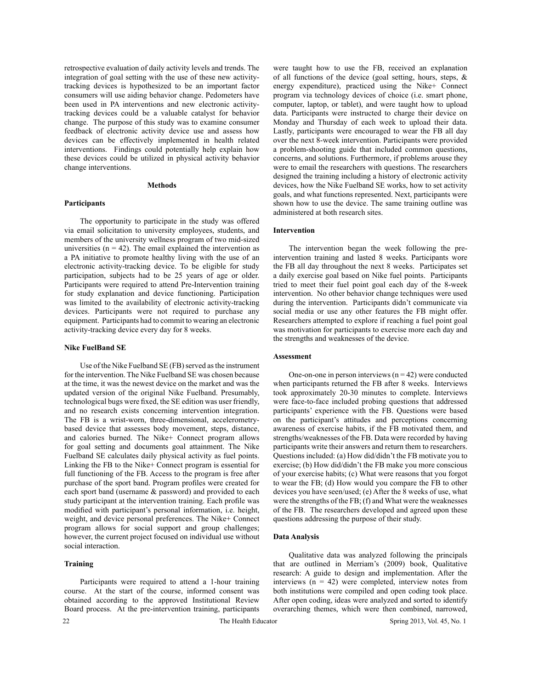retrospective evaluation of daily activity levels and trends. The integration of goal setting with the use of these new activitytracking devices is hypothesized to be an important factor consumers will use aiding behavior change. Pedometers have been used in PA interventions and new electronic activitytracking devices could be a valuable catalyst for behavior change. The purpose of this study was to examine consumer feedback of electronic activity device use and assess how devices can be effectively implemented in health related interventions. Findings could potentially help explain how these devices could be utilized in physical activity behavior change interventions.

## **Methods**

### **Participants**

The opportunity to participate in the study was offered via email solicitation to university employees, students, and members of the university wellness program of two mid-sized universities  $(n = 42)$ . The email explained the intervention as a PA initiative to promote healthy living with the use of an electronic activity-tracking device. To be eligible for study participation, subjects had to be 25 years of age or older. Participants were required to attend Pre-Intervention training for study explanation and device functioning. Participation was limited to the availability of electronic activity-tracking devices. Participants were not required to purchase any equipment. Participants had to commit to wearing an electronic activity-tracking device every day for 8 weeks.

## **Nike FuelBand SE**

Use of the Nike Fuelband SE (FB) served as the instrument for the intervention. The Nike Fuelband SE was chosen because at the time, it was the newest device on the market and was the updated version of the original Nike Fuelband. Presumably, technological bugs were fixed, the SE edition was user friendly, and no research exists concerning intervention integration. The FB is a wrist-worn, three-dimensional, accelerometrybased device that assesses body movement, steps, distance, and calories burned. The Nike+ Connect program allows for goal setting and documents goal attainment. The Nike Fuelband SE calculates daily physical activity as fuel points. Linking the FB to the Nike+ Connect program is essential for full functioning of the FB. Access to the program is free after purchase of the sport band. Program profiles were created for each sport band (username & password) and provided to each study participant at the intervention training. Each profile was modified with participant's personal information, i.e. height, weight, and device personal preferences. The Nike+ Connect program allows for social support and group challenges; however, the current project focused on individual use without social interaction.

## **Training**

Participants were required to attend a 1-hour training course. At the start of the course, informed consent was obtained according to the approved Institutional Review Board process. At the pre-intervention training, participants

were taught how to use the FB, received an explanation of all functions of the device (goal setting, hours, steps, & energy expenditure), practiced using the Nike+ Connect program via technology devices of choice (i.e. smart phone, computer, laptop, or tablet), and were taught how to upload data. Participants were instructed to charge their device on Monday and Thursday of each week to upload their data. Lastly, participants were encouraged to wear the FB all day over the next 8-week intervention. Participants were provided a problem-shooting guide that included common questions, concerns, and solutions. Furthermore, if problems arouse they were to email the researchers with questions. The researchers designed the training including a history of electronic activity devices, how the Nike Fuelband SE works, how to set activity goals, and what functions represented. Next, participants were shown how to use the device. The same training outline was administered at both research sites.

# **Intervention**

The intervention began the week following the preintervention training and lasted 8 weeks. Participants wore the FB all day throughout the next 8 weeks. Participates set a daily exercise goal based on Nike fuel points. Participants tried to meet their fuel point goal each day of the 8-week intervention. No other behavior change techniques were used during the intervention. Participants didn't communicate via social media or use any other features the FB might offer. Researchers attempted to explore if reaching a fuel point goal was motivation for participants to exercise more each day and the strengths and weaknesses of the device.

## **Assessment**

One-on-one in person interviews  $(n = 42)$  were conducted when participants returned the FB after 8 weeks. Interviews took approximately 20-30 minutes to complete. Interviews were face-to-face included probing questions that addressed participants' experience with the FB. Questions were based on the participant's attitudes and perceptions concerning awareness of exercise habits, if the FB motivated them, and strengths/weaknesses of the FB. Data were recorded by having participants write their answers and return them to researchers. Questions included: (a) How did/didn't the FB motivate you to exercise; (b) How did/didn't the FB make you more conscious of your exercise habits; (c) What were reasons that you forgot to wear the FB; (d) How would you compare the FB to other devices you have seen/used; (e) After the 8 weeks of use, what were the strengths of the FB; (f) and What were the weaknesses of the FB. The researchers developed and agreed upon these questions addressing the purpose of their study.

### **Data Analysis**

Qualitative data was analyzed following the principals that are outlined in Merriam's (2009) book, Qualitative research: A guide to design and implementation. After the interviews  $(n = 42)$  were completed, interview notes from both institutions were compiled and open coding took place. After open coding, ideas were analyzed and sorted to identify overarching themes, which were then combined, narrowed,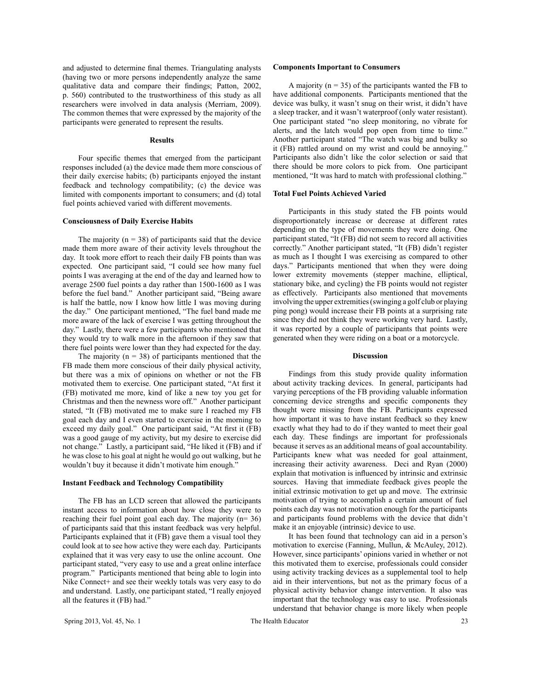and adjusted to determine final themes. Triangulating analysts (having two or more persons independently analyze the same qualitative data and compare their findings; Patton, 2002, p. 560) contributed to the trustworthiness of this study as all researchers were involved in data analysis (Merriam, 2009). The common themes that were expressed by the majority of the participants were generated to represent the results.

### **Results**

Four specific themes that emerged from the participant responses included (a) the device made them more conscious of their daily exercise habits; (b) participants enjoyed the instant feedback and technology compatibility; (c) the device was limited with components important to consumers; and (d) total fuel points achieved varied with different movements.

## **Consciousness of Daily Exercise Habits**

The majority  $(n = 38)$  of participants said that the device made them more aware of their activity levels throughout the day. It took more effort to reach their daily FB points than was expected. One participant said, "I could see how many fuel points I was averaging at the end of the day and learned how to average 2500 fuel points a day rather than 1500-1600 as I was before the fuel band." Another participant said, "Being aware is half the battle, now I know how little I was moving during the day." One participant mentioned, "The fuel band made me more aware of the lack of exercise I was getting throughout the day." Lastly, there were a few participants who mentioned that they would try to walk more in the afternoon if they saw that there fuel points were lower than they had expected for the day.

The majority ( $n = 38$ ) of participants mentioned that the FB made them more conscious of their daily physical activity, but there was a mix of opinions on whether or not the FB motivated them to exercise. One participant stated, "At first it (FB) motivated me more, kind of like a new toy you get for Christmas and then the newness wore off." Another participant stated, "It (FB) motivated me to make sure I reached my FB goal each day and I even started to exercise in the morning to exceed my daily goal." One participant said, "At first it (FB) was a good gauge of my activity, but my desire to exercise did not change." Lastly, a participant said, "He liked it (FB) and if he was close to his goal at night he would go out walking, but he wouldn't buy it because it didn't motivate him enough."

## **Instant Feedback and Technology Compatibility**

The FB has an LCD screen that allowed the participants instant access to information about how close they were to reaching their fuel point goal each day. The majority (n= 36) of participants said that this instant feedback was very helpful. Participants explained that it (FB) gave them a visual tool they could look at to see how active they were each day. Participants explained that it was very easy to use the online account. One participant stated, "very easy to use and a great online interface program." Participants mentioned that being able to login into Nike Connect+ and see their weekly totals was very easy to do and understand. Lastly, one participant stated, "I really enjoyed all the features it (FB) had."

## **Components Important to Consumers**

A majority ( $n = 35$ ) of the participants wanted the FB to have additional components. Participants mentioned that the device was bulky, it wasn't snug on their wrist, it didn't have a sleep tracker, and it wasn't waterproof (only water resistant). One participant stated "no sleep monitoring, no vibrate for alerts, and the latch would pop open from time to time." Another participant stated "The watch was big and bulky so it (FB) rattled around on my wrist and could be annoying." Participants also didn't like the color selection or said that there should be more colors to pick from. One participant mentioned, "It was hard to match with professional clothing."

## **Total Fuel Points Achieved Varied**

Participants in this study stated the FB points would disproportionately increase or decrease at different rates depending on the type of movements they were doing. One participant stated, "It (FB) did not seem to record all activities correctly." Another participant stated, "It (FB) didn't register as much as I thought I was exercising as compared to other days." Participants mentioned that when they were doing lower extremity movements (stepper machine, elliptical, stationary bike, and cycling) the FB points would not register as effectively. Participants also mentioned that movements involving the upper extremities (swinging a golf club or playing ping pong) would increase their FB points at a surprising rate since they did not think they were working very hard. Lastly, it was reported by a couple of participants that points were generated when they were riding on a boat or a motorcycle.

#### **Discussion**

Findings from this study provide quality information about activity tracking devices. In general, participants had varying perceptions of the FB providing valuable information concerning device strengths and specific components they thought were missing from the FB. Participants expressed how important it was to have instant feedback so they knew exactly what they had to do if they wanted to meet their goal each day. These findings are important for professionals because it serves as an additional means of goal accountability. Participants knew what was needed for goal attainment, increasing their activity awareness. Deci and Ryan (2000) explain that motivation is influenced by intrinsic and extrinsic sources. Having that immediate feedback gives people the initial extrinsic motivation to get up and move. The extrinsic motivation of trying to accomplish a certain amount of fuel points each day was not motivation enough for the participants and participants found problems with the device that didn't make it an enjoyable (intrinsic) device to use.

It has been found that technology can aid in a person's motivation to exercise (Fanning, Mullun, & McAuley, 2012). However, since participants' opinions varied in whether or not this motivated them to exercise, professionals could consider using activity tracking devices as a supplemental tool to help aid in their interventions, but not as the primary focus of a physical activity behavior change intervention. It also was important that the technology was easy to use. Professionals understand that behavior change is more likely when people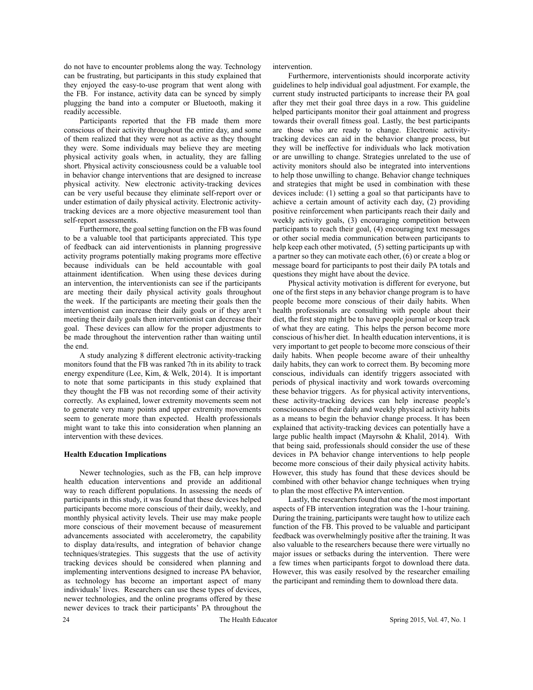do not have to encounter problems along the way. Technology can be frustrating, but participants in this study explained that they enjoyed the easy-to-use program that went along with the FB. For instance, activity data can be synced by simply plugging the band into a computer or Bluetooth, making it readily accessible.

Participants reported that the FB made them more conscious of their activity throughout the entire day, and some of them realized that they were not as active as they thought they were. Some individuals may believe they are meeting physical activity goals when, in actuality, they are falling short. Physical activity consciousness could be a valuable tool in behavior change interventions that are designed to increase physical activity. New electronic activity-tracking devices can be very useful because they eliminate self-report over or under estimation of daily physical activity. Electronic activitytracking devices are a more objective measurement tool than self-report assessments.

Furthermore, the goal setting function on the FB was found to be a valuable tool that participants appreciated. This type of feedback can aid interventionists in planning progressive activity programs potentially making programs more effective because individuals can be held accountable with goal attainment identification. When using these devices during an intervention, the interventionists can see if the participants are meeting their daily physical activity goals throughout the week. If the participants are meeting their goals then the interventionist can increase their daily goals or if they aren't meeting their daily goals then interventionist can decrease their goal. These devices can allow for the proper adjustments to be made throughout the intervention rather than waiting until the end.

A study analyzing 8 different electronic activity-tracking monitors found that the FB was ranked 7th in its ability to track energy expenditure (Lee, Kim, & Welk, 2014). It is important to note that some participants in this study explained that they thought the FB was not recording some of their activity correctly. As explained, lower extremity movements seem not to generate very many points and upper extremity movements seem to generate more than expected. Health professionals might want to take this into consideration when planning an intervention with these devices.

## **Health Education Implications**

Newer technologies, such as the FB, can help improve health education interventions and provide an additional way to reach different populations. In assessing the needs of participants in this study, it was found that these devices helped participants become more conscious of their daily, weekly, and monthly physical activity levels. Their use may make people more conscious of their movement because of measurement advancements associated with accelerometry, the capability to display data/results, and integration of behavior change techniques/strategies. This suggests that the use of activity tracking devices should be considered when planning and implementing interventions designed to increase PA behavior, as technology has become an important aspect of many individuals' lives. Researchers can use these types of devices, newer technologies, and the online programs offered by these newer devices to track their participants' PA throughout the

intervention.

Furthermore, interventionists should incorporate activity guidelines to help individual goal adjustment. For example, the current study instructed participants to increase their PA goal after they met their goal three days in a row. This guideline helped participants monitor their goal attainment and progress towards their overall fitness goal. Lastly, the best participants are those who are ready to change. Electronic activitytracking devices can aid in the behavior change process, but they will be ineffective for individuals who lack motivation or are unwilling to change. Strategies unrelated to the use of activity monitors should also be integrated into interventions to help those unwilling to change. Behavior change techniques and strategies that might be used in combination with these devices include: (1) setting a goal so that participants have to achieve a certain amount of activity each day, (2) providing positive reinforcement when participants reach their daily and weekly activity goals, (3) encouraging competition between participants to reach their goal, (4) encouraging text messages or other social media communication between participants to help keep each other motivated, (5) setting participants up with a partner so they can motivate each other, (6) or create a blog or message board for participants to post their daily PA totals and questions they might have about the device.

Physical activity motivation is different for everyone, but one of the first steps in any behavior change program is to have people become more conscious of their daily habits. When health professionals are consulting with people about their diet, the first step might be to have people journal or keep track of what they are eating. This helps the person become more conscious of his/her diet. In health education interventions, it is very important to get people to become more conscious of their daily habits. When people become aware of their unhealthy daily habits, they can work to correct them. By becoming more conscious, individuals can identify triggers associated with periods of physical inactivity and work towards overcoming these behavior triggers. As for physical activity interventions, these activity-tracking devices can help increase people's consciousness of their daily and weekly physical activity habits as a means to begin the behavior change process. It has been explained that activity-tracking devices can potentially have a large public health impact (Mayrsohn & Khalil, 2014). With that being said, professionals should consider the use of these devices in PA behavior change interventions to help people become more conscious of their daily physical activity habits. However, this study has found that these devices should be combined with other behavior change techniques when trying to plan the most effective PA intervention.

Lastly, the researchers found that one of the most important aspects of FB intervention integration was the 1-hour training. During the training, participants were taught how to utilize each function of the FB. This proved to be valuable and participant feedback was overwhelmingly positive after the training. It was also valuable to the researchers because there were virtually no major issues or setbacks during the intervention. There were a few times when participants forgot to download there data. However, this was easily resolved by the researcher emailing the participant and reminding them to download there data.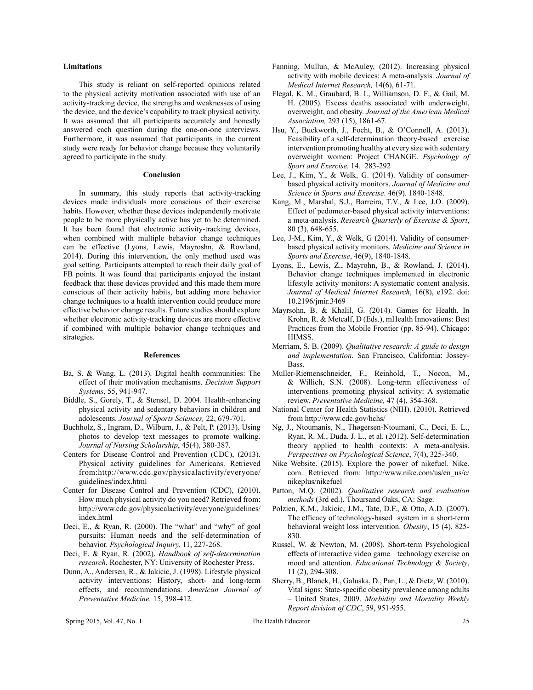## **Limitations**

This study is reliant on self-reported opinions related to the physical activity motivation associated with use of an activity-tracking device, the strengths and weaknesses of using the device, and the device's capability to track physical activity. It was assumed that all participants accurately and honestly answered each question during the one-on-one interviews. Furthermore, it was assumed that participants in the current study were ready for behavior change because they voluntarily agreed to participate in the study.

### **Conclusion**

In summary, this study reports that activity-tracking devices made individuals more conscious of their exercise habits. However, whether these devices independently motivate people to be more physically active has yet to be determined. It has been found that electronic activity-tracking devices, when combined with multiple behavior change techniques can be effective (Lyons, Lewis, Mayroshn, & Rowland, 2014). During this intervention, the only method used was goal setting. Participants attempted to reach their daily goal of FB points. It was found that participants enjoyed the instant feedback that these devices provided and this made them more conscious of their activity habits, but adding more behavior change techniques to a health intervention could produce more effective behavior change results. Future studies should explore whether electronic activity-tracking devices are more effective if combined with multiple behavior change techniques and strategies.

#### **References**

- Ba, S. & Wang, L. (2013). Digital health communities: The effect of their motivation mechanisms. *Decision Support Systems*, 55, 941-947.
- Biddle, S., Gorely, T., & Stensel, D. 2004. Health-enhancing physical activity and sedentary behaviors in children and adolescents. *Journal of Sports Sciences,* 22, 679-701.
- Buchholz, S., Ingram, D., Wilburn, J., & Pelt, P. (2013). Using photos to develop text messages to promote walking. *Journal of Nursing Scholarship*, 45(4), 380-387.
- Centers for Disease Control and Prevention (CDC), (2013). Physical activity guidelines for Americans. Retrieved from:http://www.cdc.gov/physicalactivity/everyone/ guidelines/index.html
- Center for Disease Control and Prevention (CDC), (2010). How much physical activity do you need? Retrieved from: http://www.cdc.gov/physicalactivity/everyone/guidelines/ index.html
- Deci, E., & Ryan, R. (2000). The "what" and "why" of goal pursuits: Human needs and the self-determination of behavior. *Psychological Inquiry,* 11, 227-268.
- Deci, E. & Ryan, R. (2002). *Handbook of self-determination research*. Rochester, NY: University of Rochester Press.
- Dunn, A., Andersen, R., & Jakicic, J. (1998). Lifestyle physical activity interventions: History, short- and long-term effects, and recommendations. *American Journal of Preventative Medicine,* 15, 398-412.
- Fanning, Mullun, & McAuley, (2012). Increasing physical activity with mobile devices: A meta-analysis. *Journal of Medical Internet Research,* 14(6), 61-71.
- Flegal, K. M., Graubard, B. I., Williamson, D. F., & Gail, M. H. (2005). Excess deaths associated with underweight, overweight, and obesity. *Journal of the American Medical Association,* 293 (15), 1861-67.
- Hsu, Y., Buckworth, J., Focht, B., & O'Connell, A. (2013). Feasibility of a self-determination theory-based exercise intervention promoting healthy at every size with sedentary overweight women: Project CHANGE. *Psychology of Sport and Exercise.* 14. 283-292
- Lee, J., Kim, Y., & Welk, G. (2014). Validity of consumerbased physical activity monitors. *Journal of Medicine and Science in Sports and Exercise*. 46(9). 1840-1848.
- Kang, M., Marshal, S.J., Barreira, T.V., & Lee, J.O. (2009). Effect of pedometer-based physical activity interventions: a meta-analysis. *Research Quarterly of Exercise & Sport*, 80 (3), 648-655.
- Lee, J-M., Kim, Y., & Welk, G (2014). Validity of consumerbased physical activity monitors. *Medicine and Science in Sports and Exercise*, 46(9), 1840-1848.
- Lyons, E., Lewis, Z., Mayrohn, B., & Rowland, J. (2014). Behavior change techniques implemented in electronic lifestyle activity monitors: A systematic content analysis. *Journal of Medical Internet Research*, 16(8), e192. doi: 10.2196/jmir.3469
- Mayrsohn, B. & Khalil, G. (2014). Games for Health. In Krohn, R. & Metcalf, D (Eds.), mHealth Innovations: Best Practices from the Mobile Frontier (pp. 85-94). Chicago: HIMSS.
- Merriam, S. B. (2009). *Qualitative research: A guide to design and implementation*. San Francisco, California: Jossey-Bass.
- Muller-Riemenschneider, F., Reinhold, T., Nocon, M., & Willich, S.N. (2008). Long-term effectiveness of interventions promoting physical activity: A systematic review. *Preventative Medicine,* 47 (4), 354-368.
- National Center for Health Statistics (NIH). (2010). Retrieved from http://www.cdc.gov/hchs/
- Ng, J., Ntoumanis, N., Thøgersen-Ntoumani, C., Deci, E. L., Ryan, R. M., Duda, J. L., et al. (2012). Self-determination theory applied to health contexts: A meta-analysis. *Perspectives on Psychological Science*, 7(4), 325-340.
- Nike Website. (2015). Explore the power of nikefuel. Nike. com. Retrieved from: http://www.nike.com/us/en\_us/c/ nikeplus/nikefuel
- Patton, M.Q. (2002). *Qualitative research and evaluation methods* (3rd ed.). Thoursand Oaks, CA: Sage.
- Polzien, K.M., Jakicic, J.M., Tate, D.F., & Otto, A.D. (2007). The efficacy of technology-based system in a short-term behavioral weight loss intervention. *Obesity*, 15 (4), 825- 830.
- Russel, W. & Newton, M. (2008). Short-term Psychological effects of interactive video game technology exercise on mood and attention. *Educational Technology & Society*, 11 (2), 294-308.
- Sherry, B., Blanck, H., Galuska, D., Pan, L., & Dietz, W. (2010). Vital signs: State-specific obesity prevalence among adults – United States, 2009. *Morbidity and Mortality Weekly Report division of CDC*, 59, 951-955.

Spring 2015, Vol. 47, No. 1 The Health Educator 25